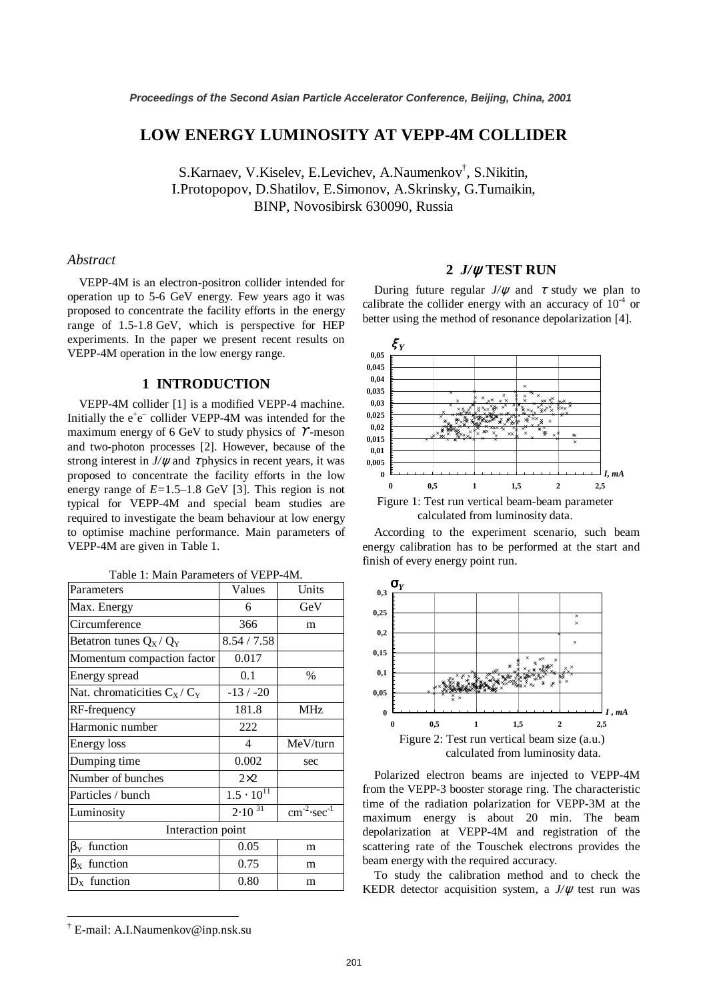# **LOW ENERGY LUMINOSITY AT VEPP-4M COLLIDER**

S.Karnaev, V.Kiselev, E.Levichev, A.Naumenkov† , S.Nikitin, I.Protopopov, D.Shatilov, E.Simonov, A.Skrinsky, G.Tumaikin, BINP, Novosibirsk 630090, Russia

#### *Abstract*

VEPP-4M is an electron-positron collider intended for operation up to 5-6 GeV energy. Few years ago it was proposed to concentrate the facility efforts in the energy range of 1.5-1.8 GeV, which is perspective for HEP experiments. In the paper we present recent results on VEPP-4M operation in the low energy range.

# **1 INTRODUCTION**

VEPP-4M collider [1] is a modified VEPP-4 machine. Initially the  $e^+e^-$  collider VEPP-4M was intended for the maximum energy of 6 GeV to study physics of  $\gamma$ -meson and two-photon processes [2]. However, because of the strong interest in  $J/\psi$  and  $\tau$  physics in recent years, it was proposed to concentrate the facility efforts in the low energy range of *E=*1.5–1.8 GeV [3]. This region is not typical for VEPP-4M and special beam studies are required to investigate the beam behaviour at low energy to optimise machine performance. Main parameters of VEPP-4M are given in Table 1.

| Table 1: Main Parameters of VEPP-4M. |  |
|--------------------------------------|--|
|--------------------------------------|--|

| Parameters                      | Values              | Units                                  |  |  |
|---------------------------------|---------------------|----------------------------------------|--|--|
| Max. Energy                     | 6                   | GeV                                    |  |  |
| Circumference                   | 366                 | m                                      |  |  |
| Betatron tunes $Q_X / Q_Y$      | 8.54 / 7.58         |                                        |  |  |
| Momentum compaction factor      | 0.017               |                                        |  |  |
| Energy spread                   | 0.1                 | $\%$                                   |  |  |
| Nat. chromaticities $C_X / C_Y$ | $-13/ -20$          |                                        |  |  |
| RF-frequency                    | 181.8               | MHz                                    |  |  |
| Harmonic number                 | 222                 |                                        |  |  |
| Energy loss                     | 4                   | MeV/turn                               |  |  |
| Dumping time                    | 0.002               | sec                                    |  |  |
| Number of bunches               | $2\times2$          |                                        |  |  |
| Particles / bunch               | $1.5 \cdot 10^{11}$ |                                        |  |  |
| Luminosity                      | $2.10^{31}$         | $\text{cm}^{-2} \cdot \text{sec}^{-1}$ |  |  |
| Interaction point               |                     |                                        |  |  |
| $\beta_{\rm Y}$ function        | 0.05                | m                                      |  |  |
| $\beta_{\rm X}$ function        | 0.75                | m                                      |  |  |
| $D_x$ function                  | 0.80                | m                                      |  |  |

# **2** *J/*ψ **TEST RUN**

During future regular  $J/\psi$  and  $\tau$  study we plan to calibrate the collider energy with an accuracy of  $10^{-4}$  or better using the method of resonance depolarization [4].



calculated from luminosity data.

According to the experiment scenario, such beam energy calibration has to be performed at the start and finish of every energy point run.



Polarized electron beams are injected to VEPP-4M from the VEPP-3 booster storage ring. The characteristic time of the radiation polarization for VEPP-3M at the maximum energy is about 20 min. The beam depolarization at VEPP-4M and registration of the scattering rate of the Touschek electrons provides the beam energy with the required accuracy.

To study the calibration method and to check the KEDR detector acquisition system, a  $J/\psi$  test run was

<sup>†</sup> E-mail: A.I.Naumenkov@inp.nsk.su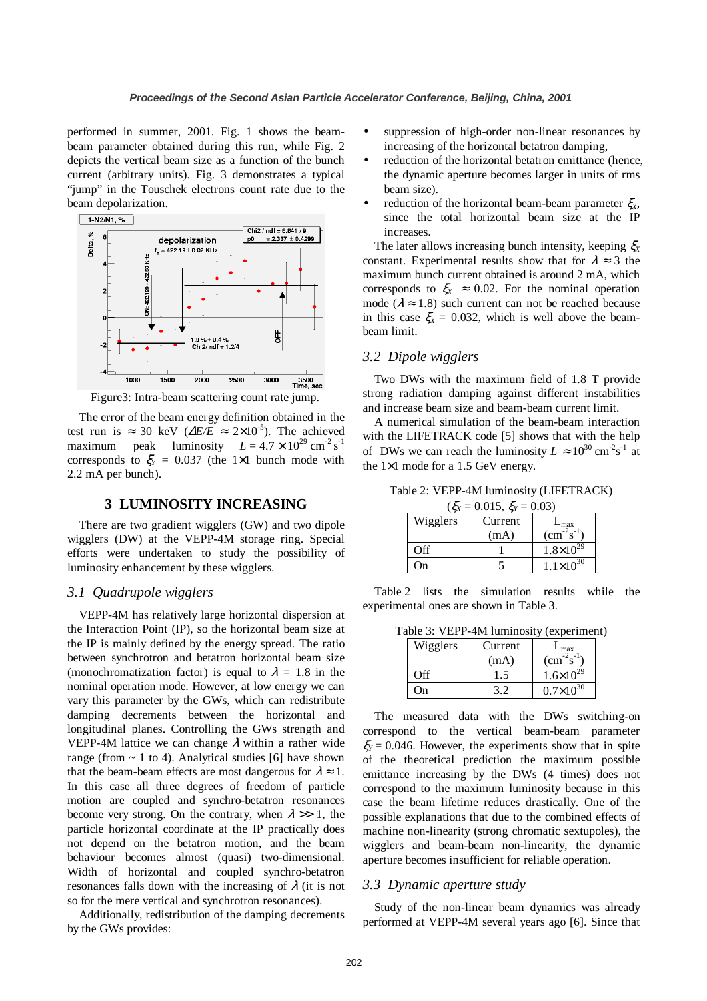performed in summer, 2001. Fig. 1 shows the beambeam parameter obtained during this run, while Fig. 2 depicts the vertical beam size as a function of the bunch current (arbitrary units). Fig. 3 demonstrates a typical "jump" in the Touschek electrons count rate due to the beam depolarization.



Figure3: Intra-beam scattering count rate jump.

The error of the beam energy definition obtained in the test run is ≈ 30 keV ( $\Delta E/E \approx 2 \times 10^{-5}$ ). The achieved maximum peak luminosity  $L = 4.7 \times 10^{29} \text{ cm}^{-2} \text{ s}^{-1}$ corresponds to  $\xi_Y = 0.037$  (the 1×1 bunch mode with 2.2 mA per bunch).

# **3 LUMINOSITY INCREASING**

There are two gradient wigglers (GW) and two dipole wigglers (DW) at the VEPP-4M storage ring. Special efforts were undertaken to study the possibility of luminosity enhancement by these wigglers.

### *3.1 Quadrupole wigglers*

VEPP-4M has relatively large horizontal dispersion at the Interaction Point (IP), so the horizontal beam size at the IP is mainly defined by the energy spread. The ratio between synchrotron and betatron horizontal beam size (monochromatization factor) is equal to  $\lambda = 1.8$  in the nominal operation mode. However, at low energy we can vary this parameter by the GWs, which can redistribute damping decrements between the horizontal and longitudinal planes. Controlling the GWs strength and VEPP-4M lattice we can change  $\lambda$  within a rather wide range (from  $\sim$  1 to 4). Analytical studies [6] have shown that the beam-beam effects are most dangerous for  $\lambda \approx 1$ . In this case all three degrees of freedom of particle motion are coupled and synchro-betatron resonances become very strong. On the contrary, when  $\lambda \gg 1$ , the particle horizontal coordinate at the IP practically does not depend on the betatron motion, and the beam behaviour becomes almost (quasi) two-dimensional. Width of horizontal and coupled synchro-betatron resonances falls down with the increasing of  $\lambda$  (it is not so for the mere vertical and synchrotron resonances).

Additionally, redistribution of the damping decrements by the GWs provides:

- suppression of high-order non-linear resonances by increasing of the horizontal betatron damping,
- reduction of the horizontal betatron emittance (hence, the dynamic aperture becomes larger in units of rms beam size).
- reduction of the horizontal beam-beam parameter  $\xi_X$ , since the total horizontal beam size at the IP increases.

The later allows increasing bunch intensity, keeping ξ*<sup>X</sup>* constant. Experimental results show that for  $\lambda \approx 3$  the maximum bunch current obtained is around 2 mA, which corresponds to  $\zeta_X \approx 0.02$ . For the nominal operation mode ( $\lambda \approx 1.8$ ) such current can not be reached because in this case  $\zeta_X = 0.032$ , which is well above the beambeam limit.

#### *3.2 Dipole wigglers*

Two DWs with the maximum field of 1.8 T provide strong radiation damping against different instabilities and increase beam size and beam-beam current limit.

A numerical simulation of the beam-beam interaction with the LIFETRACK code [5] shows that with the help of DWs we can reach the luminosity  $L \approx 10^{30} \text{ cm}^2 \text{s}^{-1}$  at the 1×1 mode for a 1.5 GeV energy.

Table 2: VEPP-4M luminosity (LIFETRACK)  $(\xi_{\text{Y}} = 0.015, \xi_{\text{Y}} = 0.03)$ 

| ÖΔ                | $\cdots$ , $\eta$ | .                     |
|-------------------|-------------------|-----------------------|
| Wigglers          | Current           | ∟max                  |
|                   | (mA)              | $\rm (cm^{-2}s^{-1})$ |
| $\bigcap_{i=1}^n$ |                   | $1.8 \times 10^{29}$  |
|                   |                   | $1.1 \times 10^{30}$  |

Table 2 lists the simulation results while the experimental ones are shown in Table 3.

Table 3: VEPP-4M luminosity (experiment)

| Wigglers | Current | ∟max                  |
|----------|---------|-----------------------|
|          | (mA)    | $\rm (cm^{-2}s^{-1})$ |
| $\Omega$ | C. ا    | $1.6\times10^{29}$    |
|          |         | $0.7\times10^{30}$    |

The measured data with the DWs switching-on correspond to the vertical beam-beam parameter ξ*Y=* 0.046. However, the experiments show that in spite of the theoretical prediction the maximum possible emittance increasing by the DWs (4 times) does not correspond to the maximum luminosity because in this case the beam lifetime reduces drastically. One of the possible explanations that due to the combined effects of machine non-linearity (strong chromatic sextupoles), the wigglers and beam-beam non-linearity, the dynamic aperture becomes insufficient for reliable operation.

# *3.3 Dynamic aperture study*

Study of the non-linear beam dynamics was already performed at VEPP-4M several years ago [6]. Since that